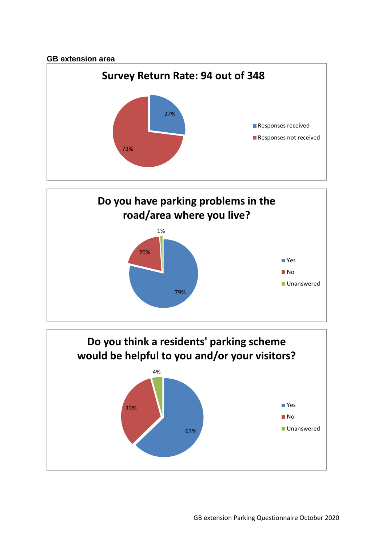## **GB extension area**





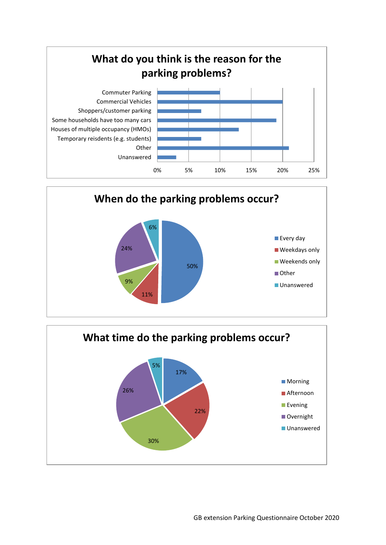



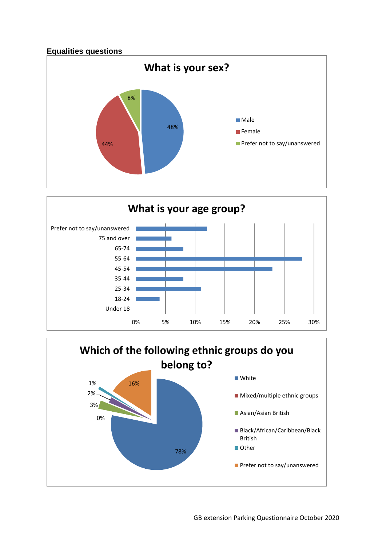



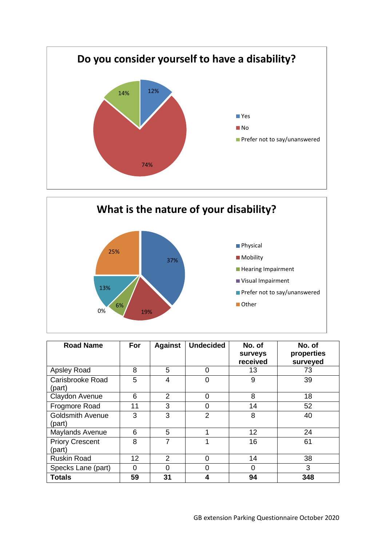



| <b>Road Name</b>                  | For      | <b>Against</b> | <b>Undecided</b> | No. of<br>surveys<br>received | No. of<br>properties<br>surveyed |
|-----------------------------------|----------|----------------|------------------|-------------------------------|----------------------------------|
| Apsley Road                       | 8        | 5              | 0                | 13                            | 73                               |
| Carisbrooke Road<br>(part)        | 5        | $\overline{4}$ | 0                | 9                             | 39                               |
| Claydon Avenue                    | 6        | 2              | $\Omega$         | 8                             | 18                               |
| Frogmore Road                     | 11       | 3              | $\overline{0}$   | 14                            | 52                               |
| <b>Goldsmith Avenue</b><br>(part) | 3        | 3              | $\overline{2}$   | 8                             | 40                               |
| Maylands Avenue                   | 6        | 5              |                  | 12                            | 24                               |
| <b>Priory Crescent</b><br>(part)  | 8        | 7              | 1                | 16                            | 61                               |
| <b>Ruskin Road</b>                | 12       | 2              | $\Omega$         | 14                            | 38                               |
| Specks Lane (part)                | $\Omega$ | $\Omega$       | $\Omega$         | $\Omega$                      | 3                                |
| <b>Totals</b>                     | 59       | 31             | 4                | 94                            | 348                              |